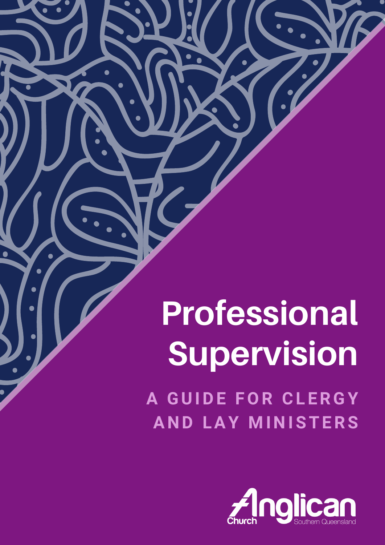# **Professional Supervision**

**A GUIDE FOR CL ERGY A N D LAY M I N ISTERS**

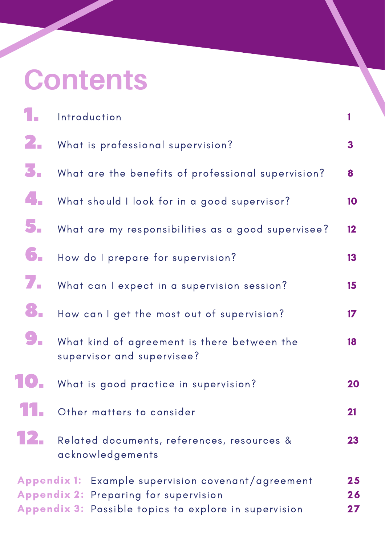# **Contents**

|                                                                                                                                                                                      | Introduction                                                              |               |
|--------------------------------------------------------------------------------------------------------------------------------------------------------------------------------------|---------------------------------------------------------------------------|---------------|
| 2.                                                                                                                                                                                   | What is professional supervision?                                         | 3             |
| 3.                                                                                                                                                                                   | What are the benefits of professional supervision?                        | 8             |
|                                                                                                                                                                                      | What should I look for in a good supervisor?                              | 10            |
| 5.                                                                                                                                                                                   | What are my responsibilities as a good supervisee?                        | 12            |
| б.                                                                                                                                                                                   | How do I prepare for supervision?                                         | 13            |
| 7.                                                                                                                                                                                   | What can I expect in a supervision session?                               | 15            |
| 8.                                                                                                                                                                                   | How can I get the most out of supervision?                                | $\mathbf{17}$ |
|                                                                                                                                                                                      | What kind of agreement is there between the<br>supervisor and supervisee? | 18            |
|                                                                                                                                                                                      | What is good practice in supervision?                                     | 20            |
|                                                                                                                                                                                      | Other matters to consider                                                 | 21            |
|                                                                                                                                                                                      | Related documents, references, resources &<br>acknowledgements            | 23            |
| <b>Appendix 1:</b> Example supervision covenant/agreement<br>25<br><b>Appendix 2: Preparing for supervision</b><br>26<br>Appendix 3: Possible topics to explore in supervision<br>27 |                                                                           |               |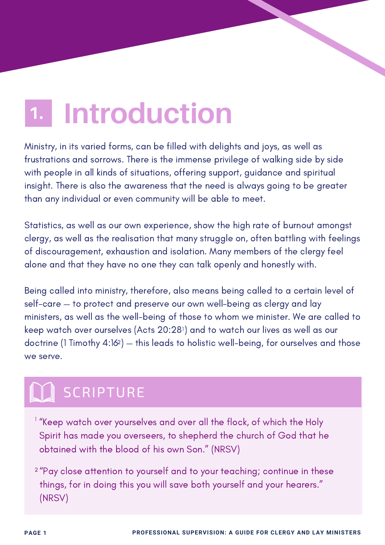#### <span id="page-2-0"></span>**Introduction 1.**

Ministry, in its varied forms, can be filled with delights and joys, as well as frustrations and sorrows. There is the immense privilege of walking side by side with people in all kinds of situations, offering support, guidance and spiritual insight. There is also the awareness that the need is always going to be greater than any individual or even community will be able to meet.

Statistics, as well as our own experience, show the high rate of burnout amongst clergy, as well as the realisation that many struggle on, often battling with feelings of discouragement, exhaustion and isolation. Many members of the clergy feel alone and that they have no one they can talk openly and honestly with.

Being called into ministry, therefore, also means being called to a certain level of self-care — to protect and preserve our own well-being as clergy and lay ministers, as well as the well-being of those to whom we minister. We are called to keep watch over ourselves (Acts 20:281) and to watch our lives as well as our doctrine (1 Timothy 4:162) — this leads to holistic well-being, for ourselves and those we serve.

## SCRIPTURE

- $^{\rm 1}$  "Keep watch over yourselves and over all the flock, of which the Holy Spirit has made you overseers, to shepherd the church of God that he obtained with the blood of his own Son." (NRSV)
- $^\mathrm{2\,\prime\prime}$ Pay close attention to yourself and to your teaching; continue in these things, for in doing this you will save both yourself and your hearers." (NRSV)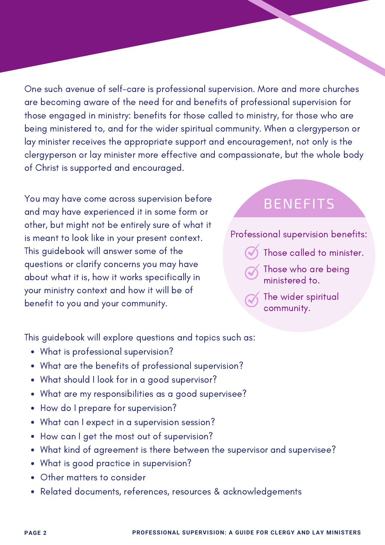One such avenue of self-care is professional supervision. More and more churches are becoming aware of the need for and benefits of professional supervision for those engaged in ministry: benefits for those called to ministry, for those who are being ministered to, and for the wider spiritual community. When a clergyperson or lay minister receives the appropriate support and encouragement, not only is the clergyperson or lay minister more effective and compassionate, but the whole body of Christ is supported and encouraged.

You may have come across supervision before and may have experienced it in some form or other, but might not be entirely sure of what it is meant to look like in your present context. This guidebook will answer some of the questions or clarify concerns you may have about what it is, how it works specifically in your ministry context and how it will be of benefit to you and your community.

#### BENEFITS

Professional supervision benefits:

- Those called to minister.
- Those who are being ministered to.
- The wider spiritual community.

This guidebook will explore questions and topics such as:

- What is professional supervision?
- What are the benefits of professional supervision?
- What should I look for in a good supervisor?
- What are my responsibilities as a good supervisee?
- How do I prepare for supervision?
- What can I expect in a supervision session?
- How can I get the most out of supervision?
- What kind of agreement is there between the supervisor and supervisee?
- What is good practice in supervision?
- Other matters to consider
- Related documents, references, resources & acknowledgements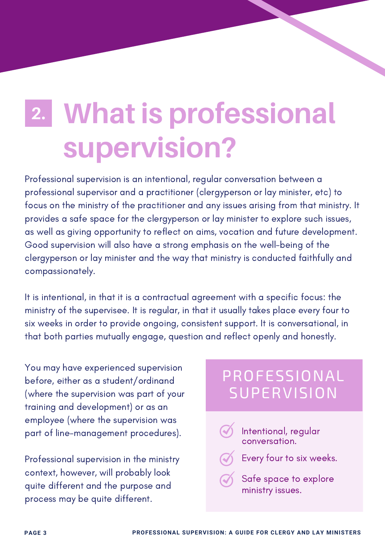## <span id="page-4-0"></span>**What is professional supervision? 2.**

Professional supervision is an intentional, regular conversation between a professional supervisor and a practitioner (clergyperson or lay minister, etc) to focus on the ministry of the practitioner and any issues arising from that ministry. It provides a safe space for the clergyperson or lay minister to explore such issues, as well as giving opportunity to reflect on aims, vocation and future development. Good supervision will also have a strong emphasis on the well-being of the clergyperson or lay minister and the way that ministry is conducted faithfully and compassionately.

It is intentional, in that it is a contractual agreement with a specific focus: the ministry of the supervisee. It is regular, in that it usually takes place every four to six weeks in order to provide ongoing, consistent support. It is conversational, in that both parties mutually engage, question and reflect openly and honestly.

You may have experienced supervision before, either as a student/ordinand (where the supervision was part of your training and development) or as an employee (where the supervision was part of line-management procedures).

Professional supervision in the ministry context, however, will probably look quite different and the purpose and process may be quite different.

#### PROFESSIONAL **SUPERVISION**

- Intentional, regular conversation.
	- Every four to six weeks.
- Safe space to explore ministry issues.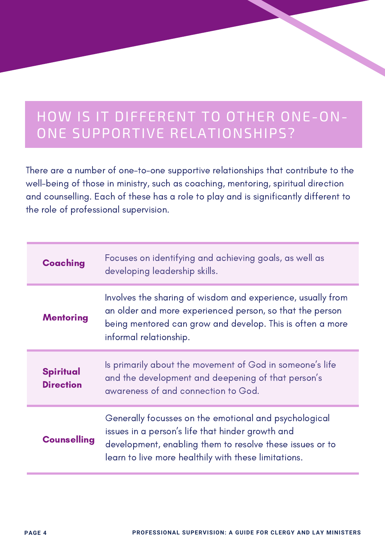#### HOW IS IT DIFFERENT TO OTHER ONE-ON-ONE SUPPORTIVE RELATIONSHIPS?

There are a number of one-to-one supportive relationships that contribute to the well-being of those in ministry, such as coaching, mentoring, spiritual direction and counselling. Each of these has a role to play and is significantly different to the role of professional supervision.

| <b>Coaching</b>                      | Focuses on identifying and achieving goals, as well as<br>developing leadership skills.                                                                                                                                       |
|--------------------------------------|-------------------------------------------------------------------------------------------------------------------------------------------------------------------------------------------------------------------------------|
| <b>Mentoring</b>                     | Involves the sharing of wisdom and experience, usually from<br>an older and more experienced person, so that the person<br>being mentored can grow and develop. This is often a more<br>informal relationship.                |
| <b>Spiritual</b><br><b>Direction</b> | Is primarily about the movement of God in someone's life<br>and the development and deepening of that person's<br>awareness of and connection to God.                                                                         |
| <b>Counselling</b>                   | Generally focusses on the emotional and psychological<br>issues in a person's life that hinder growth and<br>development, enabling them to resolve these issues or to<br>learn to live more healthily with these limitations. |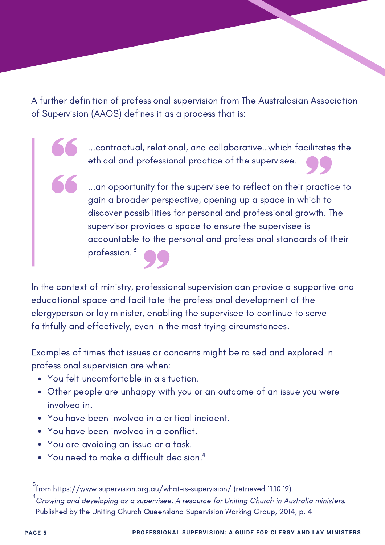A further definition of professional supervision from The Australasian Association of Supervision (AAOS) defines it as a process that is:

> ...contractual, relational, and collaborative…which facilitates the ethical and professional practice of the supervisee.

> ...an opportunity for the supervisee to reflect on their practice to gain a broader perspective, opening up a space in which to discover possibilities for personal and professional growth. The supervisor provides a space to ensure the supervisee is accountable to the personal and professional standards of their profession. 3

In the context of ministry, professional supervision can provide a supportive and educational space and facilitate the professional development of the clergyperson or lay minister, enabling the supervisee to continue to serve faithfully and effectively, even in the most trying circumstances.

Examples of times that issues or concerns might be raised and explored in professional supervision are when:

- You felt uncomfortable in a situation.
- Other people are unhappy with you or an outcome of an issue you were involved in.
- You have been involved in a critical incident.
- You have been involved in a conflict.
- You are avoiding an issue or a task.
- You need to make a difficult decision. 4

 $^3$ from https://www.supervision.org.au/what-is-supervision/ (retrieved 11.10.19)

 $^4$ Growing and developing as a supervisee: A resource for Uniting Church in Australia ministers. Published by the Uniting Church Queensland Supervision Working Group, 2014, p. 4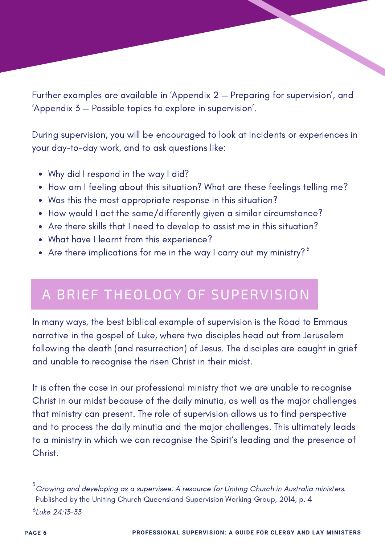Further examples are available in 'Appendix 2 — Preparing for [supervision](#page-27-0)', and 'Appendix 3 — Possible topics to explore in [supervision'](#page-28-0).

During supervision, you will be encouraged to look at incidents or experiences in your day-to-day work, and to ask questions like:

- Why did I respond in the way I did?
- How am I feeling about this situation? What are these feelings telling me?
- Was this the most appropriate response in this situation?
- How would I act the same/differently given a similar circumstance?
- Are there skills that I need to develop to assist me in this situation?
- What have I learnt from this experience?
- Are there implications for me in the way I carry out my ministry?  $^{\mathsf{5}}$

#### A BRIEF THEOLOGY OF SUPERVISION

In many ways, the best biblical example of supervision is the Road to Emmaus narrative in the gospel of Luke, where two disciples head out from Jerusalem following the death (and resurrection) of Jesus. The disciples are caught in grief and unable to recognise the risen Christ in their midst.

It is often the case in our professional ministry that we are unable to recognise Christ in our midst because of the daily minutia, as well as the major challenges that ministry can present. The role of supervision allows us to find perspective and to process the daily minutia and the major challenges. This ultimately leads to a ministry in which we can recognise the Spirit's leading and the presence of Christ.

 $^5$ Growing and developing as a supervisee: A resource for Uniting Church in Australia ministers. Published by the Uniting Church Queensland Supervision Working Group, 2014, p. 4 <sup>6</sup>Luke 24:13-33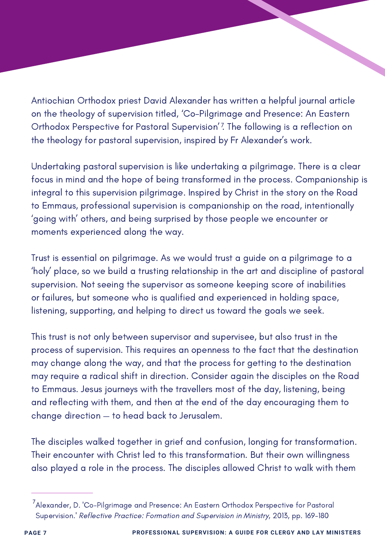Antiochian Orthodox priest David Alexander has written a helpful journal article on the theology of supervision titled, 'Co-Pilgrimage and Presence: An Eastern Orthodox Perspective for Pastoral Supervision'? The following is a reflection on the theology for pastoral supervision, inspired by Fr Alexander's work.

Undertaking pastoral supervision is like undertaking a pilgrimage. There is a clear focus in mind and the hope of being transformed in the process. Companionship is integral to this supervision pilgrimage. Inspired by Christ in the story on the Road to Emmaus, professional supervision is companionship on the road, intentionally 'going with' others, and being surprised by those people we encounter or moments experienced along the way.

Trust is essential on pilgrimage. As we would trust a guide on a pilgrimage to a 'holy' place, so we build a trusting relationship in the art and discipline of pastoral supervision. Not seeing the supervisor as someone keeping score of inabilities or failures, but someone who is qualified and experienced in holding space, listening, supporting, and helping to direct us toward the goals we seek.

This trust is not only between supervisor and supervisee, but also trust in the process of supervision. This requires an openness to the fact that the destination may change along the way, and that the process for getting to the destination may require a radical shift in direction. Consider again the disciples on the Road to Emmaus. Jesus journeys with the travellers most of the day, listening, being and reflecting with them, and then at the end of the day encouraging them to change direction — to head back to Jerusalem.

The disciples walked together in grief and confusion, longing for transformation. Their encounter with Christ led to this transformation. But their own willingness also played a role in the process. The disciples allowed Christ to walk with them

 $^{7}$ Alexander, D. 'Co-Pilgrimage and Presence: An Eastern Orthodox Perspective for Pastoral Supervision.' Reflective Practice: Formation and Supervision in Ministry, 2013, pp. 169-180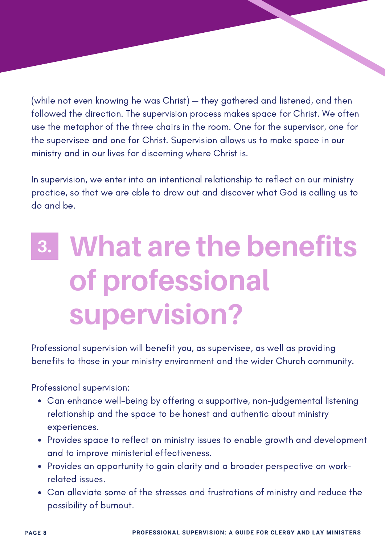<span id="page-9-0"></span>(while not even knowing he was Christ) — they gathered and listened, and then followed the direction. The supervision process makes space for Christ. We often use the metaphor of the three chairs in the room. One for the supervisor, one for the supervisee and one for Christ. Supervision allows us to make space in our ministry and in our lives for discerning where Christ is.

In supervision, we enter into an intentional relationship to reflect on our ministry practice, so that we are able to draw out and discover what God is calling us to do and be.

## **What are the benefits of professional supervision? 3.**

Professional supervision will benefit you, as supervisee, as well as providing benefits to those in your ministry environment and the wider Church community.

Professional supervision:

- Can enhance well-being by offering a supportive, non-judgemental listening relationship and the space to be honest and authentic about ministry experiences.
- Provides space to reflect on ministry issues to enable growth and development and to improve ministerial effectiveness.
- Provides an opportunity to gain clarity and a broader perspective on workrelated issues.
- Can alleviate some of the stresses and frustrations of ministry and reduce the possibility of burnout.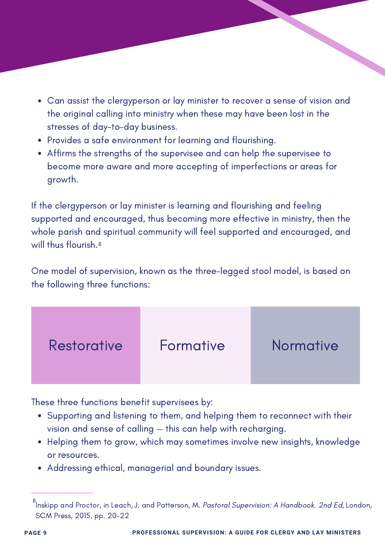- Can assist the clergyperson or lay minister to recover a sense of vision and the original calling into ministry when these may have been lost in the stresses of day-to-day business.
- Provides a safe environment for learning and flourishing.
- Affirms the strengths of the supervisee and can help the supervisee to become more aware and more accepting of imperfections or areas for growth.

If the clergyperson or lay minister is learning and flourishing and feeling supported and encouraged, thus becoming more effective in ministry, then the whole parish and spiritual community will feel supported and encouraged, and will thus flourish. 8

One model of supervision, known as the three-legged stool model, is based on the following three functions:



These three functions benefit supervisees by:

- Supporting and listening to them, and helping them to reconnect with their vision and sense of calling — this can help with recharging.
- Helping them to grow, which may sometimes involve new insights, knowledge or resources.
- Addressing ethical, managerial and boundary issues.

<sup>&</sup>lt;sup>8</sup>lnskipp and Proctor, in Leach, J. and Patterson, M. *Pastoral Supervision: A Handbook. 2nd Ed*, London, SCM Press, 2015, pp. 20-22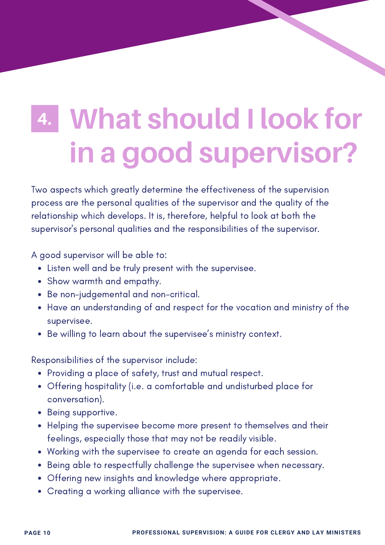## <span id="page-11-0"></span>**What should I look for in a good supervisor? 4.**

Two aspects which greatly determine the effectiveness of the supervision process are the personal qualities of the supervisor and the quality of the relationship which develops. It is, therefore, helpful to look at both the supervisor's personal qualities and the responsibilities of the supervisor.

A good supervisor will be able to:

- Listen well and be truly present with the supervisee.
- Show warmth and empathy.
- Be non-judgemental and non-critical.
- Have an understanding of and respect for the vocation and ministry of the supervisee.
- Be willing to learn about the supervisee's ministry context.

Responsibilities of the supervisor include:

- Providing a place of safety, trust and mutual respect.
- Offering hospitality (i.e. a comfortable and undisturbed place for conversation).
- Being supportive.
- Helping the supervisee become more present to themselves and their feelings, especially those that may not be readily visible.
- Working with the supervisee to create an agenda for each session.
- Being able to respectfully challenge the supervisee when necessary.
- Offering new insights and knowledge where appropriate.
- Creating a working alliance with the supervisee.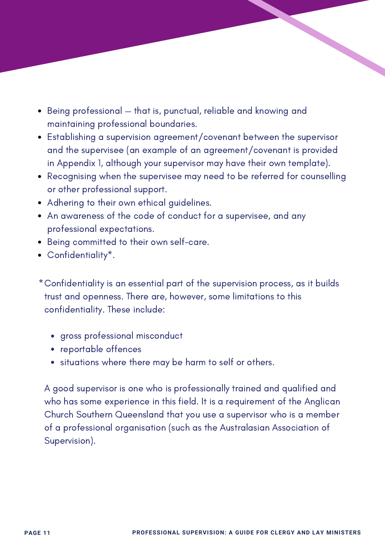- Being professional that is, punctual, reliable and knowing and maintaining professional boundaries.
- Establishing a supervision agreement/covenant between the supervisor and the supervisee (an example of an agreement/covenant is provided in [Appendix](#page-26-0) 1, although your supervisor may have their own template).
- Recognising when the supervisee may need to be referred for counselling or other professional support.
- Adhering to their own ethical guidelines.
- An awareness of the code of conduct for a supervisee, and any professional expectations.
- Being committed to their own self-care.
- Confidentiality\*.

Confidentiality is an essential part of the supervision process, as it builds \*trust and openness. There are, however, some limitations to this confidentiality. These include:

- gross professional misconduct
- reportable offences
- situations where there may be harm to self or others.

A good supervisor is one who is professionally trained and qualified and who has some experience in this field. It is a requirement of the Anglican Church Southern Queensland that you use a supervisor who is a member of a professional organisation (such as the Australasian Association of Supervision).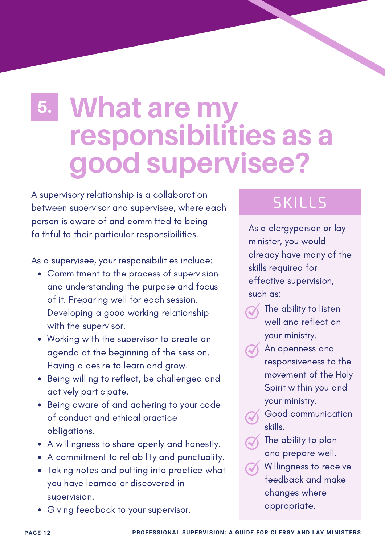## <span id="page-13-0"></span>**What are my 5. responsibilities as a good supervisee?**

A supervisory relationship is a collaboration between supervisor and supervisee, where each person is aware of and committed to being faithful to their particular responsibilities.

As a supervisee, your responsibilities include:

- Commitment to the process of supervision and understanding the purpose and focus of it. Preparing well for each session. Developing a good working relationship with the supervisor.
- Working with the supervisor to create an agenda at the beginning of the session. Having a desire to learn and grow.
- Being willing to reflect, be challenged and actively participate.
- Being aware of and adhering to your code of conduct and ethical practice obligations.
- A willingness to share openly and honestly.
- A commitment to reliability and punctuality.
- Taking notes and putting into practice what you have learned or discovered in supervision.
- Giving feedback to your supervisor.

### SKILLS

As a clergyperson or lay minister, you would already have many of the skills required for effective supervision, such as:

- The ability to listen well and reflect on your ministry.
- An openness and responsiveness to the movement of the Holy Spirit within you and your ministry.
	- Good communication skills.
- $\gamma$  The ability to plan and prepare well.
- Willingness to receive feedback and make changes where appropriate.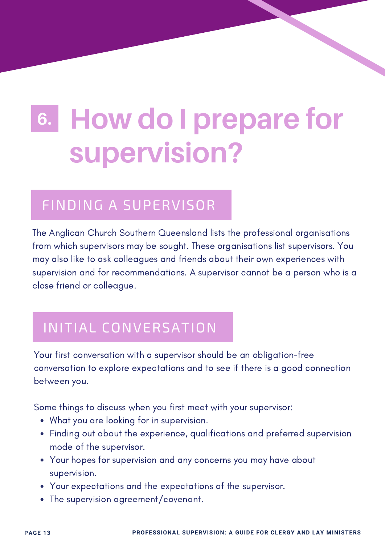## <span id="page-14-0"></span>**How do I prepare for supervision? 6.**

#### FINDING A SUPERVISOR

The Anglican Church Southern Queensland lists the professional organisations from which supervisors may be sought. These organisations list supervisors. You may also like to ask colleagues and friends about their own experiences with supervision and for recommendations. A supervisor cannot be a person who is a close friend or colleague.

#### INITIAL CONVERSATION

Your first conversation with a supervisor should be an obligation-free conversation to explore expectations and to see if there is a good connection between you.

Some things to discuss when you first meet with your supervisor:

- What you are looking for in supervision.
- Finding out about the experience, qualifications and preferred supervision mode of the supervisor.
- Your hopes for supervision and any concerns you may have about supervision.
- Your expectations and the expectations of the supervisor.
- The supervision agreement/covenant.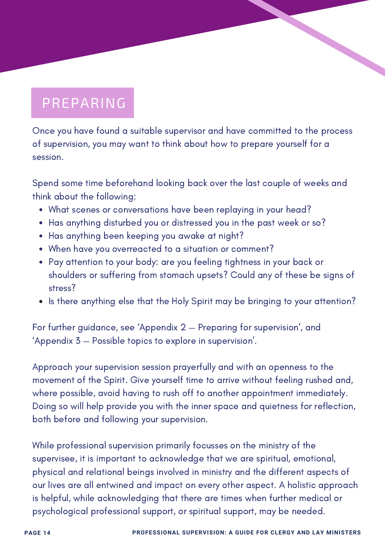### PREPARING

Once you have found a suitable supervisor and have committed to the process of supervision, you may want to think about how to prepare yourself for a session.

Spend some time beforehand looking back over the last couple of weeks and think about the following:

- What scenes or conversations have been replaying in your head?
- Has anything disturbed you or distressed you in the past week or so?
- Has anything been keeping you awake at night?
- When have you overreacted to a situation or comment?
- Pay attention to your body: are you feeling tightness in your back or shoulders or suffering from stomach upsets? Could any of these be signs of stress?
- Is there anything else that the Holy Spirit may be bringing to your attention?

For further guidance, see 'Appendix 2 — Preparing for [supervision](#page-27-0)', and 'Appendix 3 — Possible topics to explore in [supervision](#page-28-0)'.

Approach your supervision session prayerfully and with an openness to the movement of the Spirit. Give yourself time to arrive without feeling rushed and, where possible, avoid having to rush off to another appointment immediately. Doing so will help provide you with the inner space and quietness for reflection, both before and following your supervision.

While professional supervision primarily focusses on the ministry of the supervisee, it is important to acknowledge that we are spiritual, emotional, physical and relational beings involved in ministry and the different aspects of our lives are all entwined and impact on every other aspect. A holistic approach is helpful, while acknowledging that there are times when further medical or psychological professional support, or spiritual support, may be needed.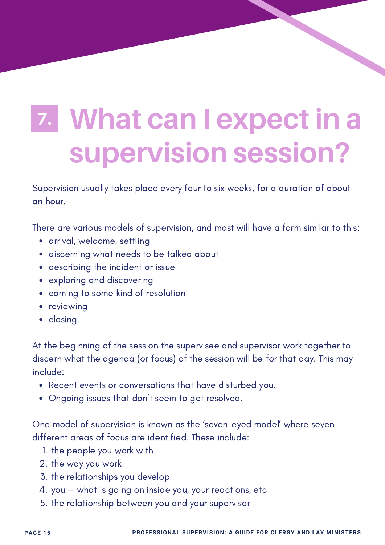## <span id="page-16-0"></span>**What can I expect in a supervision session? 7.**

Supervision usually takes place every four to six weeks, for a duration of about an hour.

There are various models of supervision, and most will have a form similar to this:

- arrival, welcome, settling
- discerning what needs to be talked about
- describing the incident or issue
- exploring and discovering
- coming to some kind of resolution
- reviewing
- closing.

At the beginning of the session the supervisee and supervisor work together to discern what the agenda (or focus) of the session will be for that day. This may include:

- Recent events or conversations that have disturbed you.
- Ongoing issues that don't seem to get resolved.

One model of supervision is known as the 'seven-eyed model' where seven different areas of focus are identified. These include:

- 1. the people you work with
- 2. the way you work
- 3. the relationships you develop
- 4. you what is going on inside you, your reactions, etc
- 5. the relationship between you and your supervisor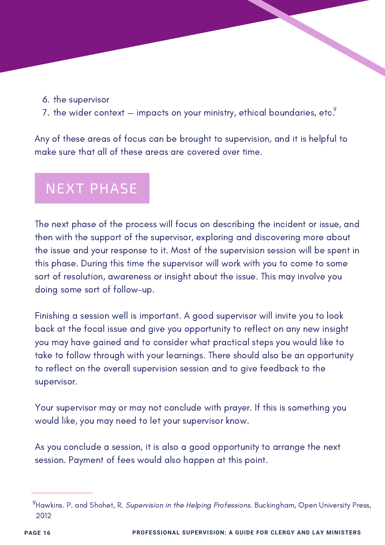6. the supervisor

3.

7. the wider context — impacts on your ministry, ethical boundaries, etc. $^{\circ}$ 

Any of these areas of focus can be brought to supervision, and it is helpful to make sure that all of these areas are covered over time.

### NEXT PHASE

The next phase of the process will focus on describing the incident or issue, and then with the support of the supervisor, exploring and discovering more about the issue and your response to it. Most of the supervision session will be spent in this phase. During this time the supervisor will work with you to come to some sort of resolution, awareness or insight about the issue. This may involve you doing some sort of follow-up.

Finishing a session well is important. A good supervisor will invite you to look back at the focal issue and give you opportunity to reflect on any new insight you may have gained and to consider what practical steps you would like to take to follow through with your learnings. There should also be an opportunity to reflect on the overall supervision session and to give feedback to the supervisor.

Your supervisor may or may not conclude with prayer. If this is something you would like, you may need to let your supervisor know.

As you conclude a session, it is also a good opportunity to arrange the next session. Payment of fees would also happen at this point.

 $^9$ Hawkins. P. and Shohet, R. *Supervision in the Helping Professions*. Buckingham, Open University Press, 2012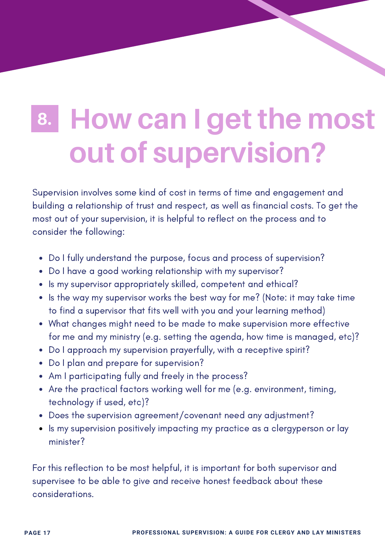## <span id="page-18-0"></span>**How can I get the most out of supervision? 8.**

Supervision involves some kind of cost in terms of time and engagement and building a relationship of trust and respect, as well as financial costs. To get the most out of your supervision, it is helpful to reflect on the process and to consider the following:

- Do I fully understand the purpose, focus and process of supervision?
- Do I have a good working relationship with my supervisor?
- Is my supervisor appropriately skilled, competent and ethical?
- Is the way my supervisor works the best way for me? (Note: it may take time to find a supervisor that fits well with you and your learning method)
- What changes might need to be made to make supervision more effective for me and my ministry (e.g. setting the agenda, how time is managed, etc)?
- Do I approach my supervision prayerfully, with a receptive spirit?
- Do I plan and prepare for supervision?
- Am I participating fully and freely in the process?
- Are the practical factors working well for me (e.g. environment, timing, technology if used, etc)?
- Does the supervision agreement/covenant need any adjustment?
- Is my supervision positively impacting my practice as a clergyperson or lay minister?

For this reflection to be most helpful, it is important for both supervisor and supervisee to be able to give and receive honest feedback about these considerations.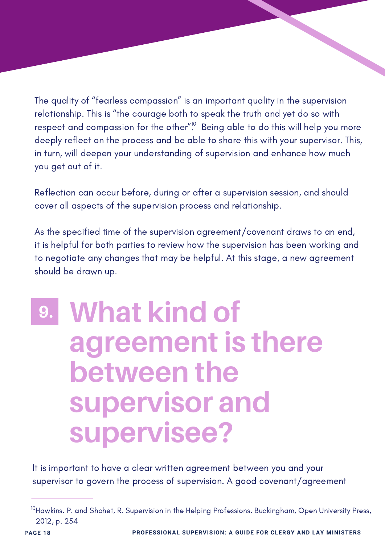<span id="page-19-0"></span>The quality of "fearless compassion" is an important quality in the supervision relationship. This is "the courage both to speak the truth and yet do so with respect and compassion for the other $^{\prime\prime,0}$  Being able to do this will help you more deeply reflect on the process and be able to share this with your supervisor. This, in turn, will deepen your understanding of supervision and enhance how much you get out of it.

Reflection can occur before, during or after a supervision session, and should cover all aspects of the supervision process and relationship.

As the specified time of the supervision agreement/covenant draws to an end, it is helpful for both parties to review how the supervision has been working and to negotiate any changes that may be helpful. At this stage, a new agreement should be drawn up.

## **What kind of agreement is there between the supervisor and supervisee? 9.**

It is important to have a clear written agreement between you and your supervisor to govern the process of supervision. A good covenant/agreement

 $^{10}$ Hawkins. P. and Shohet, R. Supervision in the Helping Professions. Buckingham, Open University Press, 2012, p. 254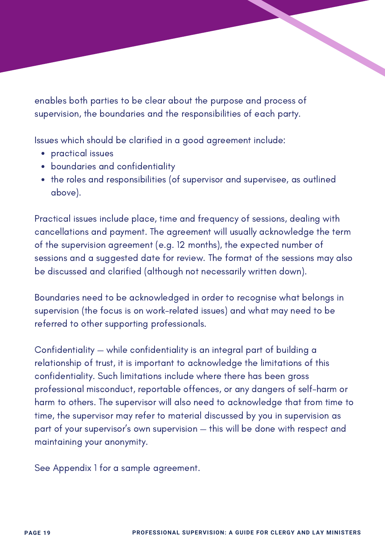enables both parties to be clear about the purpose and process of supervision, the boundaries and the responsibilities of each party.

Issues which should be clarified in a good agreement include:

- practical issues
- boundaries and confidentiality
- the roles and responsibilities (of supervisor and supervisee, as outlined above).

Practical issues include place, time and frequency of sessions, dealing with cancellations and payment. The agreement will usually acknowledge the term of the supervision agreement (e.g. 12 months), the expected number of sessions and a suggested date for review. The format of the sessions may also be discussed and clarified (although not necessarily written down).

Boundaries need to be acknowledged in order to recognise what belongs in supervision (the focus is on work-related issues) and what may need to be referred to other supporting professionals.

Confidentiality — while confidentiality is an integral part of building a relationship of trust, it is important to acknowledge the limitations of this confidentiality. Such limitations include where there has been gross professional misconduct, reportable offences, or any dangers of self-harm or harm to others. The supervisor will also need to acknowledge that from time to time, the supervisor may refer to material discussed by you in supervision as part of your supervisor's own supervision — this will be done with respect and maintaining your anonymity.

See Appendix 1 for a sample agreement.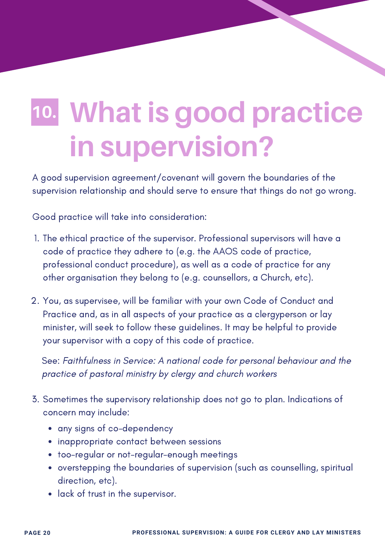## <span id="page-21-0"></span>**What is good practice in supervision? 10.**

A good supervision agreement/covenant will govern the boundaries of the supervision relationship and should serve to ensure that things do not go wrong.

Good practice will take into consideration:

- 1. The ethical practice of the supervisor. Professional supervisors will have a code of practice they adhere to (e.g. the AAOS code of practice, professional conduct procedure), as well as a code of practice for any other organisation they belong to (e.g. counsellors, a Church, etc).
- 2. You, as supervisee, will be familiar with your own Code of Conduct and Practice and, as in all aspects of your practice as a clergyperson or lay minister, will seek to follow these guidelines. It may be helpful to provide your supervisor with a copy of this code of practice.

See: Faithfulness in Service: A national code for personal behaviour and the practice of pastoral ministry by clergy and church workers

- 3. Sometimes the supervisory relationship does not go to plan. Indications of concern may include:
	- any signs of co-dependency
	- inappropriate contact between sessions
	- too-regular or not-regular-enough meetings
	- overstepping the boundaries of supervision (such as counselling, spiritual direction, etc).
	- lack of trust in the supervisor.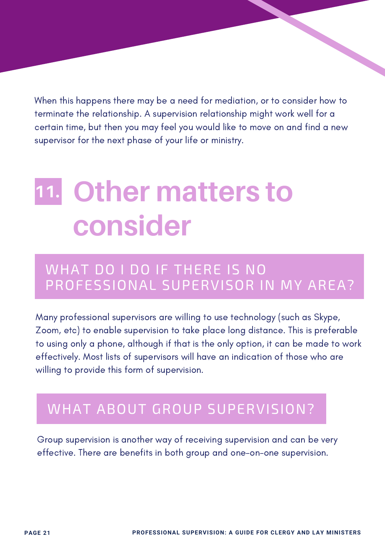<span id="page-22-0"></span>When this happens there may be a need for mediation, or to consider how to terminate the relationship. A supervision relationship might work well for a certain time, but then you may feel you would like to move on and find a new supervisor for the next phase of your life or ministry.

### **Other matters to consider 11.**

#### WHAT DO I DO IF THERE IS NO PROFESSIONAL SUPERVISOR IN MY AREA?

Many professional supervisors are willing to use technology (such as Skype, Zoom, etc) to enable supervision to take place long distance. This is preferable to using only a phone, although if that is the only option, it can be made to work effectively. Most lists of supervisors will have an indication of those who are willing to provide this form of supervision.

#### WHAT ABOUT GROUP SUPERVISION?

Group supervision is another way of receiving supervision and can be very effective. There are benefits in both group and one-on-one supervision.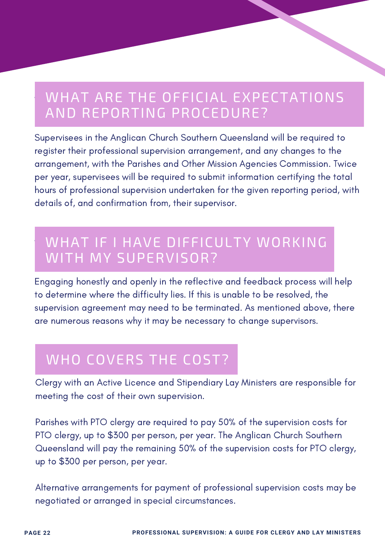#### WHAT ARE THE OFFICIAL EXPECTATIONS AND REPORTING PROCEDURE?

Supervisees in the Anglican Church Southern Queensland will be required to register their professional supervision arrangement, and any changes to the arrangement, with the Parishes and Other Mission Agencies Commission. Twice per year, supervisees will be required to submit information certifying the total hours of professional supervision undertaken for the given reporting period, with details of, and confirmation from, their supervisor.

#### WHAT IF I HAVE DIFFICULTY WORKING WITH MY SUPERVISOR?

Engaging honestly and openly in the reflective and feedback process will help to determine where the difficulty lies. If this is unable to be resolved, the supervision agreement may need to be terminated. As mentioned above, there are numerous reasons why it may be necessary to change supervisors.

#### WHO COVERS THE COST?

Clergy with an Active Licence and Stipendiary Lay Ministers are responsible for meeting the cost of their own supervision.

Parishes with PTO clergy are required to pay 50% of the supervision costs for PTO clergy, up to \$300 per person, per year. The Anglican Church Southern Queensland will pay the remaining 50% of the supervision costs for PTO clergy, up to \$300 per person, per year.

Alternative arrangements for payment of professional supervision costs may be negotiated or arranged in special circumstances.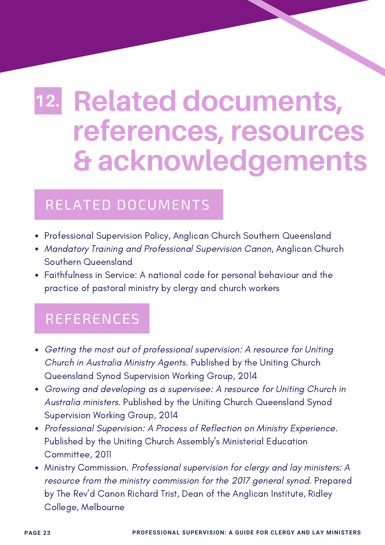## <span id="page-24-0"></span>**Related documents, 12. references, resources & acknowledgements**

#### RELATED DOCUMENTS

- Professional Supervision Policy, Anglican Church Southern Queensland
- Mandatory Training and Professional Supervision Canon, Anglican Church Southern Queensland
- Faithfulness in Service: A national code for personal behaviour and the practice of pastoral ministry by clergy and church workers

#### REFERENCES

- Getting the most out of professional supervision: A resource for Uniting Church in Australia Ministry Agents. Published by the Uniting Church Queensland Synod Supervision Working Group, 2014
- Growing and developing as a supervisee: A resource for Uniting Church in Australia ministers. Published by the Uniting Church Queensland Synod Supervision Working Group, 2014
- Professional Supervision: A Process of Reflection on Ministry Experience. Published by the Uniting Church Assembly's Ministerial Education Committee, 2011
- Ministry Commission. Professional supervision for clergy and lay ministers: A resource from the ministry commission for the 2017 general synod. Prepared by The Rev'd Canon Richard Trist, Dean of the Anglican Institute, Ridley College, Melbourne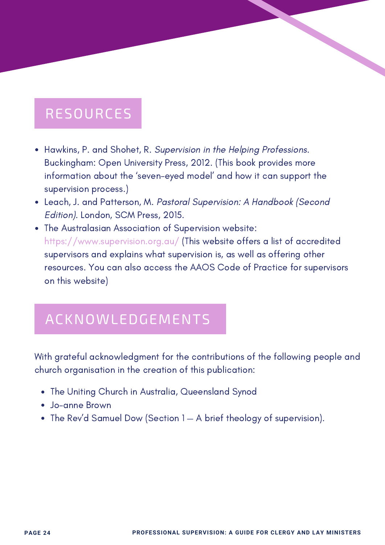#### RESOURCES

- Hawkins, P. and Shohet, R. Supervision in the Helping Professions. Buckingham: Open University Press, 2012. (This book provides more information about the 'seven-eyed model' and how it can support the supervision process.)
- Leach, J. and Patterson, M. Pastoral Supervision: A Handbook (Second Edition). London, SCM Press, 2015.
- The Australasian Association of Supervision website: https://www.supervision.org.au/ (This website offers a list of accredited supervisors and explains what supervision is, as well as offering other resources. You can also access the AAOS Code of Practice for supervisors on this website)

#### ACKNOWLEDGEMENTS

With grateful acknowledgment for the contributions of the following people and church organisation in the creation of this publication:

- The Uniting Church in Australia, Queensland Synod
- Jo-anne Brown
- The Rev'd Samuel Dow (Section 1 A brief theology of supervision).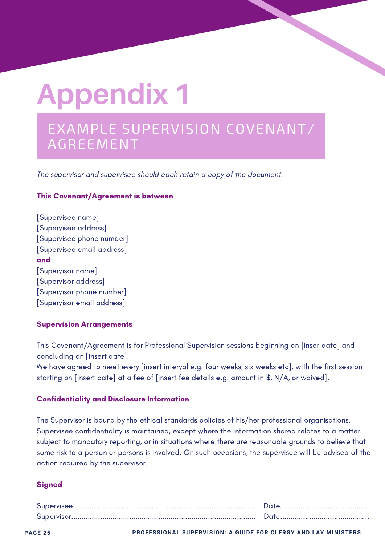# <span id="page-26-0"></span>**Appendix 1**

#### EXAMPLE SUPERVISION COVENANT/ AGREEMENT

The supervisor and supervisee should each retain a copy of the document.

#### This Covenant/Agreement is between

[Supervisee name] [Supervisee address] [Supervisee phone number] [Supervisee email address] and [Supervisor name] [Supervisor address] [Supervisor phone number] [Supervisor email address]

#### Supervision Arrangements

This Covenant/Agreement is for Professional Supervision sessions beginning on [inser date] and concluding on [insert date].

We have agreed to meet every [insert interval e.g. four weeks, six weeks etc], with the first session starting on [insert date] at a fee of [insert fee details e.g. amount in \$, N/A, or waived].

#### Confidentiality and Disclosure Information

The Supervisor is bound by the ethical standards policies of his/her professional organisations. Supervisee confidentiality is maintained, except where the information shared relates to a matter subject to mandatory reporting, or in situations where there are reasonable grounds to believe that some risk to a person or persons is involved. On such occasions, the supervisee will be advised of the action required by the supervisor.

#### **Signed**

**PAGE 25 PROFESSIONAL SUPERVISION: A GUIDE FOR CLERGY AND LAY MINISTERS**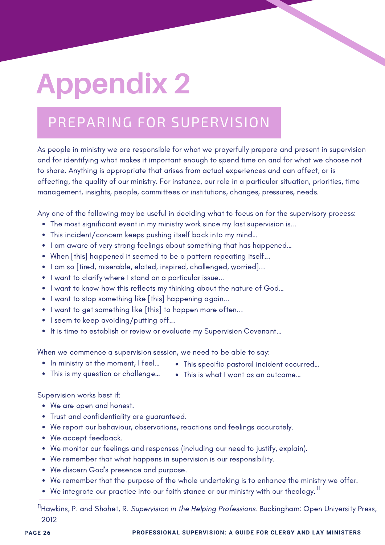# <span id="page-27-0"></span>**Appendix 2**

### PREPARING FOR SUPERVISION

As people in ministry we are responsible for what we prayerfully prepare and present in supervision and for identifying what makes it important enough to spend time on and for what we choose not to share. Anything is appropriate that arises from actual experiences and can affect, or is affecting, the quality of our ministry. For instance, our role in a particular situation, priorities, time management, insights, people, committees or institutions, changes, pressures, needs.

Any one of the following may be useful in deciding what to focus on for the supervisory process:

- The most significant event in my ministry work since my last supervision is...
- This incident/concern keeps pushing itself back into my mind…
- I am aware of very strong feelings about something that has happened...
- When [this] happened it seemed to be a pattern repeating itself...
- I am so [tired, miserable, elated, inspired, challenged, worried]...
- I want to clarify where I stand on a particular issue...
- I want to know how this reflects my thinking about the nature of God...
- I want to stop something like [this] happening again...
- I want to get something like [this] to happen more often...
- I seem to keep avoiding/putting off...
- It is time to establish or review or evaluate my Supervision Covenant...

When we commence a supervision session, we need to be able to say:

- In ministry at the moment, I feel...
- This specific pastoral incident occurred…

- This is my question or challenge...
- This is what I want as an outcome…

Supervision works best if:

- We are open and honest.
- Trust and confidentiality are guaranteed.
- We report our behaviour, observations, reactions and feelings accurately.
- We accept feedback.
- We monitor our feelings and responses (including our need to justify, explain).
- We remember that what happens in supervision is our responsibility.
- We discern God's presence and purpose.
- We remember that the purpose of the whole undertaking is to enhance the ministry we offer.
- We integrate our practice into our faith stance or our ministry with our theology.  $^{\mathrm{ll}}$

 $^{\text{11}}$ Hawkins, P. and Shohet, R. *Supervision in the Helping Professions*. Buckingham: Open University Press, 2012